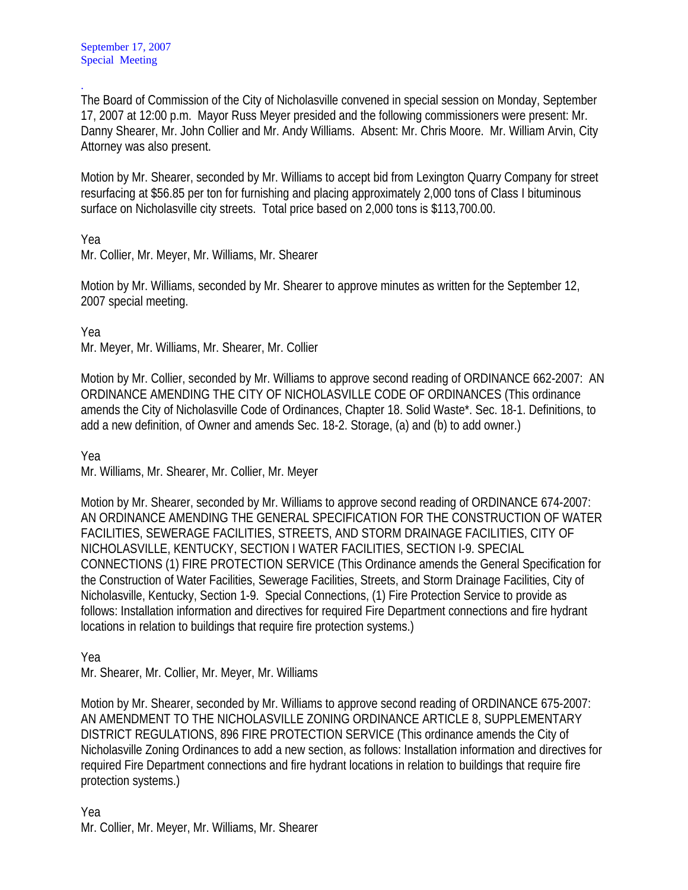. The Board of Commission of the City of Nicholasville convened in special session on Monday, September 17, 2007 at 12:00 p.m. Mayor Russ Meyer presided and the following commissioners were present: Mr. Danny Shearer, Mr. John Collier and Mr. Andy Williams. Absent: Mr. Chris Moore. Mr. William Arvin, City Attorney was also present.

Motion by Mr. Shearer, seconded by Mr. Williams to accept bid from Lexington Quarry Company for street resurfacing at \$56.85 per ton for furnishing and placing approximately 2,000 tons of Class I bituminous surface on Nicholasville city streets. Total price based on 2,000 tons is \$113,700.00.

Yea

Mr. Collier, Mr. Meyer, Mr. Williams, Mr. Shearer

Motion by Mr. Williams, seconded by Mr. Shearer to approve minutes as written for the September 12, 2007 special meeting.

Yea

Mr. Meyer, Mr. Williams, Mr. Shearer, Mr. Collier

Motion by Mr. Collier, seconded by Mr. Williams to approve second reading of ORDINANCE 662-2007: AN ORDINANCE AMENDING THE CITY OF NICHOLASVILLE CODE OF ORDINANCES (This ordinance amends the City of Nicholasville Code of Ordinances, Chapter 18. Solid Waste\*. Sec. 18-1. Definitions, to add a new definition, of Owner and amends Sec. 18-2. Storage, (a) and (b) to add owner.)

Yea

Mr. Williams, Mr. Shearer, Mr. Collier, Mr. Meyer

Motion by Mr. Shearer, seconded by Mr. Williams to approve second reading of ORDINANCE 674-2007: AN ORDINANCE AMENDING THE GENERAL SPECIFICATION FOR THE CONSTRUCTION OF WATER FACILITIES, SEWERAGE FACILITIES, STREETS, AND STORM DRAINAGE FACILITIES, CITY OF NICHOLASVILLE, KENTUCKY, SECTION I WATER FACILITIES, SECTION I-9. SPECIAL CONNECTIONS (1) FIRE PROTECTION SERVICE (This Ordinance amends the General Specification for the Construction of Water Facilities, Sewerage Facilities, Streets, and Storm Drainage Facilities, City of Nicholasville, Kentucky, Section 1-9. Special Connections, (1) Fire Protection Service to provide as follows: Installation information and directives for required Fire Department connections and fire hydrant locations in relation to buildings that require fire protection systems.)

Yea

Mr. Shearer, Mr. Collier, Mr. Meyer, Mr. Williams

Motion by Mr. Shearer, seconded by Mr. Williams to approve second reading of ORDINANCE 675-2007: AN AMENDMENT TO THE NICHOLASVILLE ZONING ORDINANCE ARTICLE 8, SUPPLEMENTARY DISTRICT REGULATIONS, 896 FIRE PROTECTION SERVICE (This ordinance amends the City of Nicholasville Zoning Ordinances to add a new section, as follows: Installation information and directives for required Fire Department connections and fire hydrant locations in relation to buildings that require fire protection systems.)

Yea Mr. Collier, Mr. Meyer, Mr. Williams, Mr. Shearer